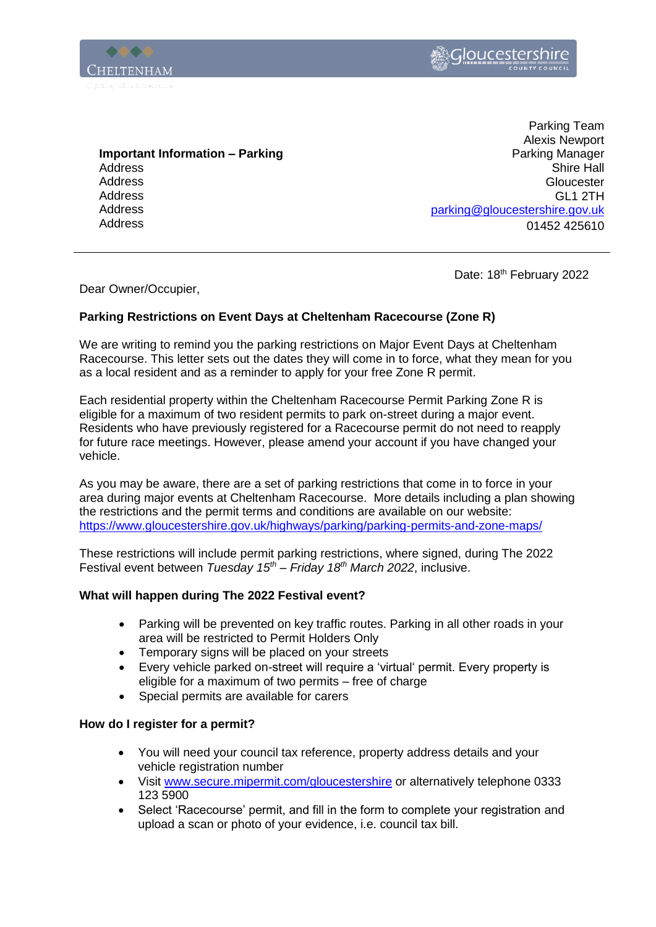



**Important Information – Parking** Address **Address** Address Address Address

Parking Team Alexis Newport Parking Manager Shire Hall **Gloucester** GL1 2TH [parking@gloucestershire.gov.uk](mailto:parking@gloucestershire.gov.uk) 01452 425610

Date: 18<sup>th</sup> February 2022

Dear Owner/Occupier,

## **Parking Restrictions on Event Days at Cheltenham Racecourse (Zone R)**

We are writing to remind you the parking restrictions on Major Event Days at Cheltenham Racecourse. This letter sets out the dates they will come in to force, what they mean for you as a local resident and as a reminder to apply for your free Zone R permit.

Each residential property within the Cheltenham Racecourse Permit Parking Zone R is eligible for a maximum of two resident permits to park on-street during a major event. Residents who have previously registered for a Racecourse permit do not need to reapply for future race meetings. However, please amend your account if you have changed your vehicle.

As you may be aware, there are a set of parking restrictions that come in to force in your area during major events at Cheltenham Racecourse. More details including a plan showing the restrictions and the permit terms and conditions are available on our website: <https://www.gloucestershire.gov.uk/highways/parking/parking-permits-and-zone-maps/>

These restrictions will include permit parking restrictions, where signed, during The 2022 Festival event between *Tuesday 15th – Friday 18th March 2022*, inclusive.

## **What will happen during The 2022 Festival event?**

- Parking will be prevented on key traffic routes. Parking in all other roads in your area will be restricted to Permit Holders Only
- Temporary signs will be placed on your streets
- Every vehicle parked on-street will require a 'virtual' permit. Every property is eligible for a maximum of two permits – free of charge
- Special permits are available for carers

## **How do I register for a permit?**

- You will need your council tax reference, property address details and your vehicle registration number
- Visit [www.secure.mipermit.com/gloucestershire](http://www.secure.mipermit.com/gloucestershire) or alternatively telephone 0333 123 5900
- Select 'Racecourse' permit, and fill in the form to complete your registration and upload a scan or photo of your evidence, i.e. council tax bill.